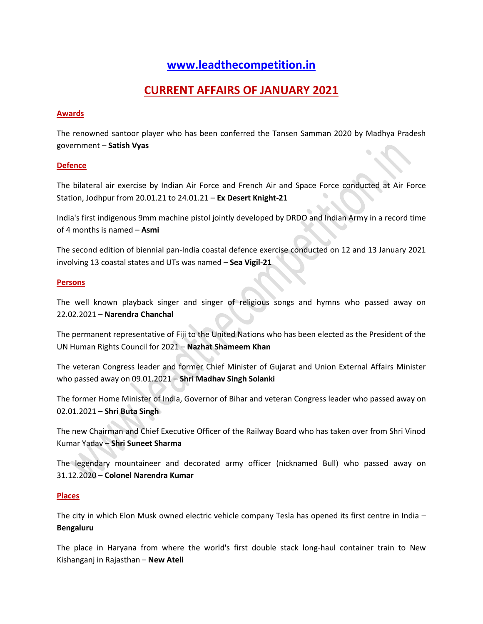# **[www.leadthecompetition.in](http://www.leadthecompetition.in/)**

# **CURRENT AFFAIRS OF JANUARY 2021**

#### **Awards**

The renowned santoor player who has been conferred the Tansen Samman 2020 by Madhya Pradesh government – **Satish Vyas**

#### **Defence**

The bilateral air exercise by Indian Air Force and French Air and Space Force conducted at Air Force Station, Jodhpur from 20.01.21 to 24.01.21 – **Ex Desert Knight-21**

India's first indigenous 9mm machine pistol jointly developed by DRDO and Indian Army in a record time of 4 months is named – **Asmi**

The second edition of biennial pan-India coastal defence exercise conducted on 12 and 13 January 2021 involving 13 coastal states and UTs was named – **Sea Vigil-21**

#### **Persons**

The well known playback singer and singer of religious songs and hymns who passed away on 22.02.2021 – **Narendra Chanchal**

The permanent representative of Fiji to the United Nations who has been elected as the President of the UN Human Rights Council for 2021 – **Nazhat Shameem Khan**

The veteran Congress leader and former Chief Minister of Gujarat and Union External Affairs Minister who passed away on 09.01.2021 – **Shri Madhav Singh Solanki**

The former Home Minister of India, Governor of Bihar and veteran Congress leader who passed away on 02.01.2021 – **Shri Buta Singh**

The new Chairman and Chief Executive Officer of the Railway Board who has taken over from Shri Vinod Kumar Yadav – **Shri Suneet Sharma**

The legendary mountaineer and decorated army officer (nicknamed Bull) who passed away on 31.12.2020 – **Colonel Narendra Kumar**

#### **Places**

The city in which Elon Musk owned electric vehicle company Tesla has opened its first centre in India – **Bengaluru**

The place in Haryana from where the world's first double stack long-haul container train to New Kishanganj in Rajasthan – **New Ateli**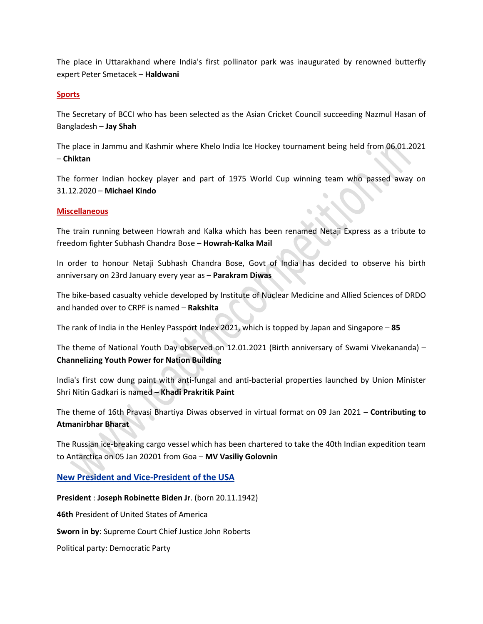The place in Uttarakhand where India's first pollinator park was inaugurated by renowned butterfly expert Peter Smetacek – **Haldwani**

#### **Sports**

The Secretary of BCCI who has been selected as the Asian Cricket Council succeeding Nazmul Hasan of Bangladesh – **Jay Shah**

The place in Jammu and Kashmir where Khelo India Ice Hockey tournament being held from 06.01.2021 – **Chiktan**

The former Indian hockey player and part of 1975 World Cup winning team who passed away on 31.12.2020 – **Michael Kindo**

#### **Miscellaneous**

The train running between Howrah and Kalka which has been renamed Netaji Express as a tribute to freedom fighter Subhash Chandra Bose – **Howrah-Kalka Mail**

In order to honour Netaji Subhash Chandra Bose, Govt of India has decided to observe his birth anniversary on 23rd January every year as – **Parakram Diwas**

The bike-based casualty vehicle developed by Institute of Nuclear Medicine and Allied Sciences of DRDO and handed over to CRPF is named – **Rakshita**

The rank of India in the Henley Passport Index 2021, which is topped by Japan and Singapore – **85**

The theme of National Youth Day observed on 12.01.2021 (Birth anniversary of Swami Vivekananda) – **Channelizing Youth Power for Nation Building**

India's first cow dung paint with anti-fungal and anti-bacterial properties launched by Union Minister Shri Nitin Gadkari is named – **Khadi Prakritik Paint**

The theme of 16th Pravasi Bhartiya Diwas observed in virtual format on 09 Jan 2021 – **Contributing to Atmanirbhar Bharat** 

The Russian ice-breaking cargo vessel which has been chartered to take the 40th Indian expedition team to Antarctica on 05 Jan 20201 from Goa – **MV Vasiliy Golovnin**

**New President and Vice-President of the USA**

**President** : **Joseph Robinette Biden Jr**. (born 20.11.1942) **46th** President of United States of America **Sworn in by**: Supreme Court Chief Justice John Roberts Political party: Democratic Party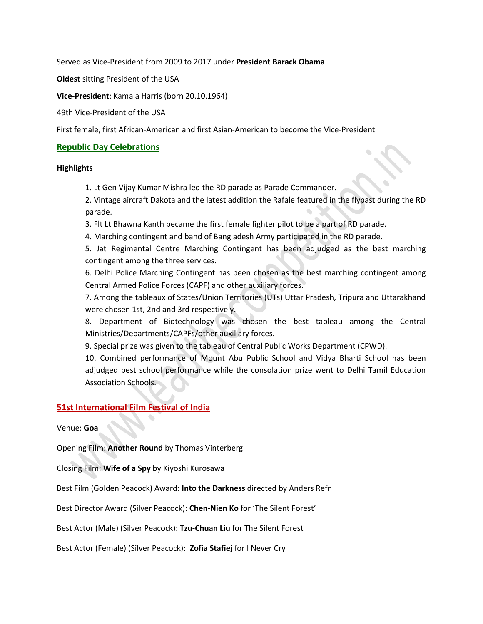Served as Vice-President from 2009 to 2017 under **President Barack Obama**

**Oldest** sitting President of the USA

**Vice-President**: Kamala Harris (born 20.10.1964)

49th Vice-President of the USA

First female, first African-American and first Asian-American to become the Vice-President

#### **Republic Day Celebrations**

#### **Highlights**

1. Lt Gen Vijay Kumar Mishra led the RD parade as Parade Commander.

2. Vintage aircraft Dakota and the latest addition the Rafale featured in the flypast during the RD parade.

3. Flt Lt Bhawna Kanth became the first female fighter pilot to be a part of RD parade.

4. Marching contingent and band of Bangladesh Army participated in the RD parade.

5. Jat Regimental Centre Marching Contingent has been adjudged as the best marching contingent among the three services.

6. Delhi Police Marching Contingent has been chosen as the best marching contingent among Central Armed Police Forces (CAPF) and other auxiliary forces.

7. Among the tableaux of States/Union Territories (UTs) Uttar Pradesh, Tripura and Uttarakhand were chosen 1st, 2nd and 3rd respectively.

8. Department of Biotechnology was chosen the best tableau among the Central Ministries/Departments/CAPFs/other auxiliary forces.

9. Special prize was given to the tableau of Central Public Works Department (CPWD).

10. Combined performance of Mount Abu Public School and Vidya Bharti School has been adjudged best school performance while the consolation prize went to Delhi Tamil Education Association Schools.

#### **51st International Film Festival of India**

Venue: **Goa**

Opening Film: **Another Round** by Thomas Vinterberg

Closing Film: **Wife of a Spy** by Kiyoshi Kurosawa

Best Film (Golden Peacock) Award: **Into the Darkness** directed by Anders Refn

Best Director Award (Silver Peacock): **Chen-Nien Ko** for 'The Silent Forest'

Best Actor (Male) (Silver Peacock): **Tzu-Chuan Liu** for The Silent Forest

Best Actor (Female) (Silver Peacock): **Zofia Stafiej** for I Never Cry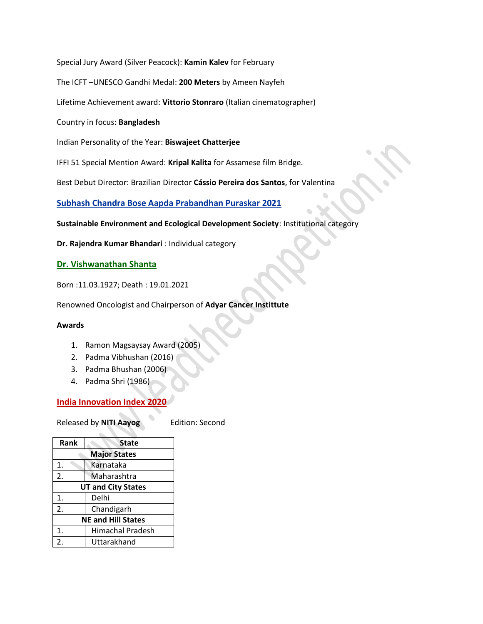Special Jury Award (Silver Peacock): **Kamin Kalev** for February

The ICFT –UNESCO Gandhi Medal: **200 Meters** by Ameen Nayfeh

Lifetime Achievement award: **Vittorio Stonraro** (Italian cinematographer)

Country in focus: **Bangladesh**

Indian Personality of the Year: **Biswajeet Chatterjee**

IFFI 51 Special Mention Award: **Kripal Kalita** for Assamese film Bridge.

Best Debut Director: Brazilian Director **Cássio Pereira dos Santos**, for Valentina

**Subhash Chandra Bose Aapda Prabandhan Puraskar 2021**

**Sustainable Environment and Ecological Development Society**: Institutional category

**Dr. Rajendra Kumar Bhandari** : Individual category

#### **Dr. Vishwanathan Shanta**

Born :11.03.1927; Death : 19.01.2021

Renowned Oncologist and Chairperson of **Adyar Cancer Instittute**

#### **Awards**

- 1. Ramon Magsaysay Award (2005)
- 2. Padma Vibhushan (2016)
- 3. Padma Bhushan (2006)
- 4. Padma Shri (1986)

### **India Innovation Index 2020**

Released by **NITI Aayog** Edition: Second

| Rank                      | <b>State</b>            |  |
|---------------------------|-------------------------|--|
| <b>Major States</b>       |                         |  |
| 1.                        | Karnataka               |  |
| 2.                        | Maharashtra             |  |
| <b>UT and City States</b> |                         |  |
| 1.                        | Delhi                   |  |
| 2.                        | Chandigarh              |  |
| <b>NE and Hill States</b> |                         |  |
| 1.                        | <b>Himachal Pradesh</b> |  |
| 2.                        | Uttarakhand             |  |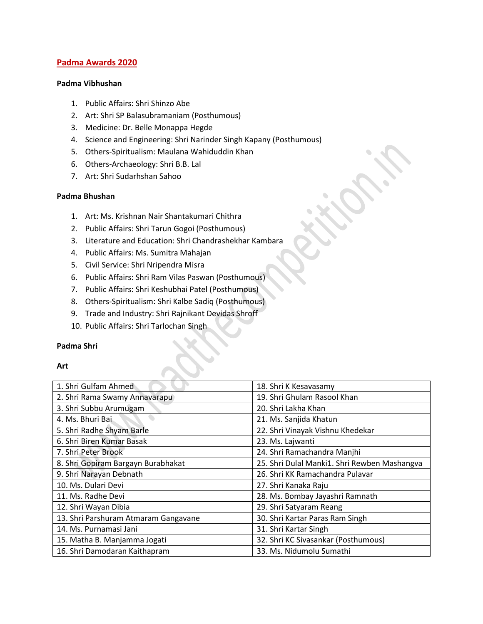#### **Padma Awards 2020**

#### **Padma Vibhushan**

- 1. Public Affairs: Shri Shinzo Abe
- 2. Art: Shri SP Balasubramaniam (Posthumous)
- 3. Medicine: Dr. Belle Monappa Hegde
- 4. Science and Engineering: Shri Narinder Singh Kapany (Posthumous)
- 5. Others-Spiritualism: Maulana Wahiduddin Khan
- 6. Others-Archaeology: Shri B.B. Lal
- 7. Art: Shri Sudarhshan Sahoo

#### **Padma Bhushan**

- 1. Art: Ms. Krishnan Nair Shantakumari Chithra
- 2. Public Affairs: Shri Tarun Gogoi (Posthumous)
- 3. Literature and Education: Shri Chandrashekhar Kambara
- 4. Public Affairs: Ms. Sumitra Mahajan
- 5. Civil Service: Shri Nripendra Misra
- 6. Public Affairs: Shri Ram Vilas Paswan (Posthumous)
- 7. Public Affairs: Shri Keshubhai Patel (Posthumous)
- 8. Others-Spiritualism: Shri Kalbe Sadiq (Posthumous)
- 9. Trade and Industry: Shri Rajnikant Devidas Shroff
- 10. Public Affairs: Shri Tarlochan Singh

#### **Padma Shri**

#### **Art**

| 1. Shri Gulfam Ahmed                 | 18. Shri K Kesavasamy                        |
|--------------------------------------|----------------------------------------------|
| 2. Shri Rama Swamy Annavarapu        | 19. Shri Ghulam Rasool Khan                  |
| 3. Shri Subbu Arumugam               | 20. Shri Lakha Khan                          |
| 4. Ms. Bhuri Bai                     | 21. Ms. Sanjida Khatun                       |
| 5. Shri Radhe Shyam Barle            | 22. Shri Vinayak Vishnu Khedekar             |
| 6. Shri Biren Kumar Basak            | 23. Ms. Lajwanti                             |
| 7. Shri Peter Brook                  | 24. Shri Ramachandra Manjhi                  |
| 8. Shri Gopiram Bargayn Burabhakat   | 25. Shri Dulal Manki1. Shri Rewben Mashangva |
| 9. Shri Narayan Debnath              | 26. Shri KK Ramachandra Pulavar              |
| 10. Ms. Dulari Devi                  | 27. Shri Kanaka Raju                         |
| 11. Ms. Radhe Devi                   | 28. Ms. Bombay Jayashri Ramnath              |
| 12. Shri Wayan Dibia                 | 29. Shri Satyaram Reang                      |
| 13. Shri Parshuram Atmaram Gangavane | 30. Shri Kartar Paras Ram Singh              |
| 14. Ms. Purnamasi Jani               | 31. Shri Kartar Singh                        |
| 15. Matha B. Manjamma Jogati         | 32. Shri KC Sivasankar (Posthumous)          |
| 16. Shri Damodaran Kaithapram        | 33. Ms. Nidumolu Sumathi                     |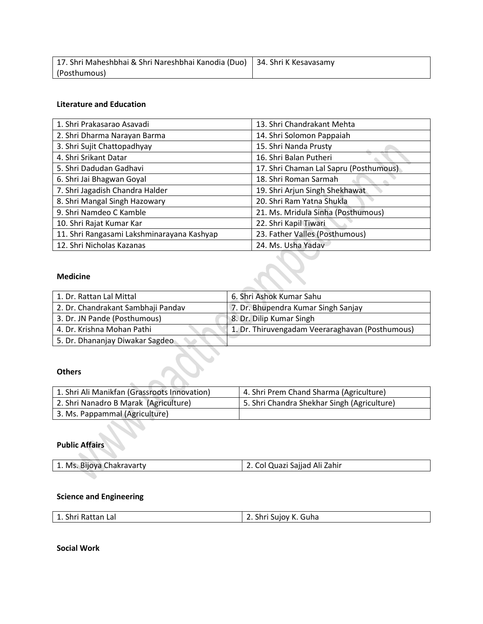| 17. Shri Maheshbhai & Shri Nareshbhai Kanodia (Duo)   34. Shri K Kesavasamy |  |
|-----------------------------------------------------------------------------|--|
| (Posthumous)                                                                |  |

### **Literature and Education**

| 1. Shri Prakasarao Asavadi                 | 13. Shri Chandrakant Mehta             |
|--------------------------------------------|----------------------------------------|
| 2. Shri Dharma Narayan Barma               | 14. Shri Solomon Pappaiah              |
| 3. Shri Sujit Chattopadhyay                | 15. Shri Nanda Prusty                  |
| 4. Shri Srikant Datar                      | 16. Shri Balan Putheri                 |
| 5. Shri Dadudan Gadhavi                    | 17. Shri Chaman Lal Sapru (Posthumous) |
| 6. Shri Jai Bhagwan Goyal                  | 18. Shri Roman Sarmah                  |
| 7. Shri Jagadish Chandra Halder            | 19. Shri Arjun Singh Shekhawat         |
| 8. Shri Mangal Singh Hazowary              | 20. Shri Ram Yatna Shukla              |
| 9. Shri Namdeo C Kamble                    | 21. Ms. Mridula Sinha (Posthumous)     |
| 10. Shri Rajat Kumar Kar                   | 22. Shri Kapil Tiwari                  |
| 11. Shri Rangasami Lakshminarayana Kashyap | 23. Father Valles (Posthumous)         |
| 12. Shri Nicholas Kazanas                  | 24. Ms. Usha Yadav                     |

#### **Medicine**

| 1. Dr. Rattan Lal Mittal           | 6. Shri Ashok Kumar Sahu                        |
|------------------------------------|-------------------------------------------------|
| 2. Dr. Chandrakant Sambhaji Pandav | 7. Dr. Bhupendra Kumar Singh Sanjay             |
| 3. Dr. JN Pande (Posthumous)       | 8. Dr. Dilip Kumar Singh                        |
| 4. Dr. Krishna Mohan Pathi         | 1. Dr. Thiruvengadam Veeraraghavan (Posthumous) |
| 5. Dr. Dhananjay Diwakar Sagdeo    |                                                 |

## **Others**

| 1. Shri Ali Manikfan (Grassroots Innovation) | 4. Shri Prem Chand Sharma (Agriculture)     |
|----------------------------------------------|---------------------------------------------|
| 2. Shri Nanadro B Marak (Agriculture)        | 5. Shri Chandra Shekhar Singh (Agriculture) |
| 3. Ms. Pappammal (Agriculture)               |                                             |

#### **Public Affairs**  $\overline{\mathcal{C}}$

| 1. Ms. Bijoya Chakravarty | 2. Col Quazi Sajjad Ali Zahir |
|---------------------------|-------------------------------|
|---------------------------|-------------------------------|

# **Science and Engineering**

**Social Work**